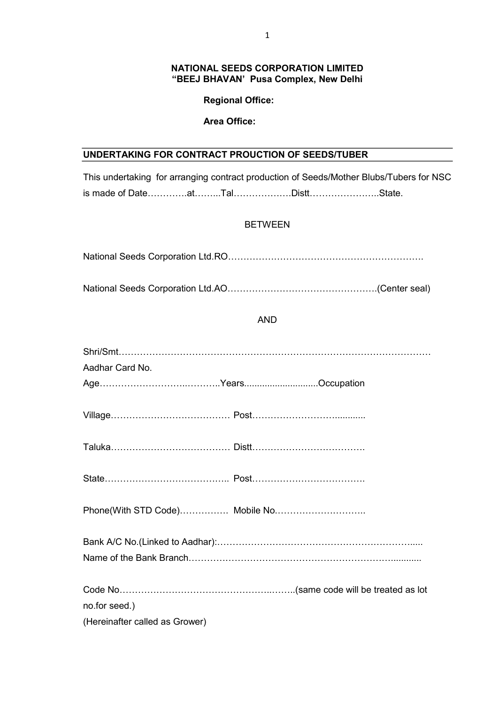#### NATIONAL SEEDS CORPORATION LIMITED "BEEJ BHAVAN' Pusa Complex, New Delhi

### Regional Office:

### Area Office:

# UNDERTAKING FOR CONTRACT PROUCTION OF SEEDS/TUBER

This undertaking for arranging contract production of Seeds/Mother Blubs/Tubers for NSC is made of Date………….at……...Tal……………….Distt…………………..State.

## BETWEEN

| AND             |  |
|-----------------|--|
| Aadhar Card No. |  |
|                 |  |
|                 |  |

Bank A/C No.(Linked to Aadhar):………………………………………………………..... Name of the Bank Branch…………………………………………………………............ Code No…………………………………………..……..(same code will be treated as lot no.for seed.) (Hereinafter called as Grower)

State………………………………….. Post……………………………….

Phone(With STD Code)……………. Mobile No.………………………..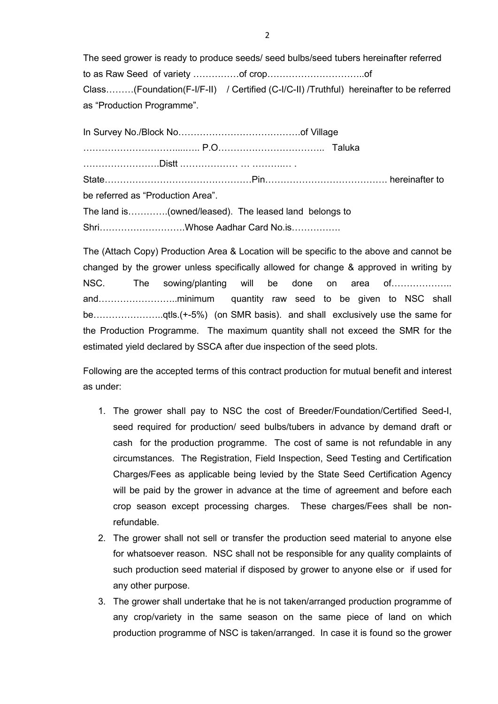The seed grower is ready to produce seeds/ seed bulbs/seed tubers hereinafter referred to as Raw Seed of variety ……………of crop…………………………..of Class………(Foundation(F-I/F-II) / Certified (C-I/C-II) /Truthful) hereinafter to be referred as "Production Programme".

In Survey No./Block No………………………………….of Village …………………………....….. P.O…………………………….. Taluka …………………….Distt .……………… … ……….… . State…………………………………………Pin…………………………………. hereinafter to be referred as "Production Area". The land is………….(owned/leased). The leased land belongs to Shri……………………….Whose Aadhar Card No.is…………….

The (Attach Copy) Production Area & Location will be specific to the above and cannot be changed by the grower unless specifically allowed for change & approved in writing by NSC. The sowing/planting will be done on area of……………….. and……………………..minimum quantity raw seed to be given to NSC shall be…………………..qtls.(+-5%) (on SMR basis). and shall exclusively use the same for the Production Programme. The maximum quantity shall not exceed the SMR for the estimated yield declared by SSCA after due inspection of the seed plots.

Following are the accepted terms of this contract production for mutual benefit and interest as under:

- 1. The grower shall pay to NSC the cost of Breeder/Foundation/Certified Seed-I, seed required for production/ seed bulbs/tubers in advance by demand draft or cash for the production programme. The cost of same is not refundable in any circumstances. The Registration, Field Inspection, Seed Testing and Certification Charges/Fees as applicable being levied by the State Seed Certification Agency will be paid by the grower in advance at the time of agreement and before each crop season except processing charges. These charges/Fees shall be nonrefundable.
- 2. The grower shall not sell or transfer the production seed material to anyone else for whatsoever reason. NSC shall not be responsible for any quality complaints of such production seed material if disposed by grower to anyone else or if used for any other purpose.
- 3. The grower shall undertake that he is not taken/arranged production programme of any crop/variety in the same season on the same piece of land on which production programme of NSC is taken/arranged. In case it is found so the grower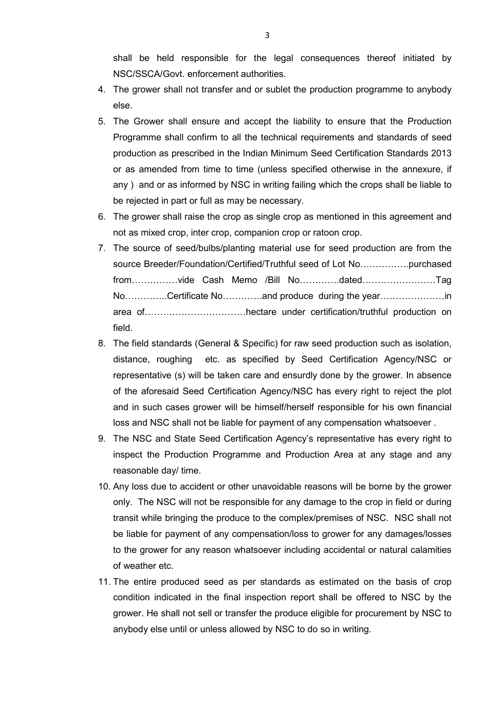shall be held responsible for the legal consequences thereof initiated by NSC/SSCA/Govt. enforcement authorities.

- 4. The grower shall not transfer and or sublet the production programme to anybody else.
- 5. The Grower shall ensure and accept the liability to ensure that the Production Programme shall confirm to all the technical requirements and standards of seed production as prescribed in the Indian Minimum Seed Certification Standards 2013 or as amended from time to time (unless specified otherwise in the annexure, if any ) and or as informed by NSC in writing failing which the crops shall be liable to be rejected in part or full as may be necessary.
- 6. The grower shall raise the crop as single crop as mentioned in this agreement and not as mixed crop, inter crop, companion crop or ratoon crop.
- 7. The source of seed/bulbs/planting material use for seed production are from the source Breeder/Foundation/Certified/Truthful seed of Lot No…………….purchased from……………vide Cash Memo /Bill No………….dated……………………Tag No…………..Certificate No………….and produce during the year…………………in area of……………………………hectare under certification/truthful production on field.
- 8. The field standards (General & Specific) for raw seed production such as isolation, distance, roughing etc. as specified by Seed Certification Agency/NSC or representative (s) will be taken care and ensurdly done by the grower. In absence of the aforesaid Seed Certification Agency/NSC has every right to reject the plot and in such cases grower will be himself/herself responsible for his own financial loss and NSC shall not be liable for payment of any compensation whatsoever .
- 9. The NSC and State Seed Certification Agency's representative has every right to inspect the Production Programme and Production Area at any stage and any reasonable day/ time.
- 10. Any loss due to accident or other unavoidable reasons will be borne by the grower only. The NSC will not be responsible for any damage to the crop in field or during transit while bringing the produce to the complex/premises of NSC. NSC shall not be liable for payment of any compensation/loss to grower for any damages/losses to the grower for any reason whatsoever including accidental or natural calamities of weather etc.
- 11. The entire produced seed as per standards as estimated on the basis of crop condition indicated in the final inspection report shall be offered to NSC by the grower. He shall not sell or transfer the produce eligible for procurement by NSC to anybody else until or unless allowed by NSC to do so in writing.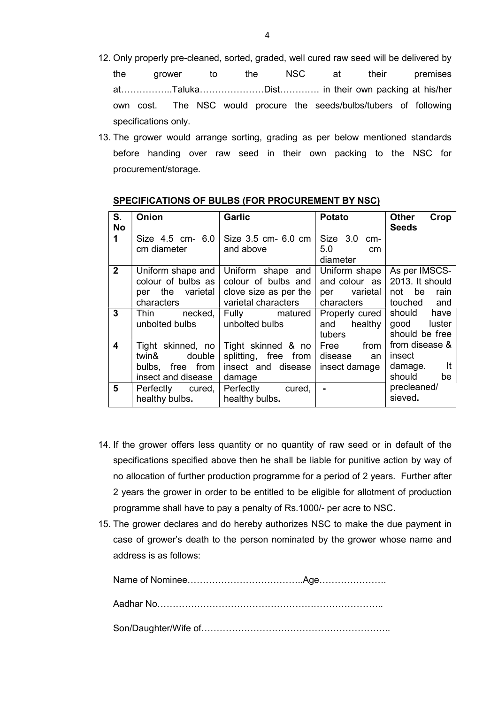- 12. Only properly pre-cleaned, sorted, graded, well cured raw seed will be delivered by the grower to the NSC at their premises at……………..Taluka…………………Dist…………. in their own packing at his/her own cost. The NSC would procure the seeds/bulbs/tubers of following specifications only.
- 13. The grower would arrange sorting, grading as per below mentioned standards before handing over raw seed in their own packing to the NSC for procurement/storage.

| S.           | Onion              | <b>Garlic</b>         | <b>Potato</b>         | <b>Other</b><br>Crop         |
|--------------|--------------------|-----------------------|-----------------------|------------------------------|
| <b>No</b>    |                    |                       |                       | <b>Seeds</b>                 |
| $\mathbf 1$  | Size 4.5 cm- 6.0   | Size 3.5 cm- 6.0 cm   | Size 3.0 cm-          |                              |
|              | cm diameter        | and above             | 5.0<br>cm<br>diameter |                              |
| $\mathbf{2}$ | Uniform shape and  | Uniform shape and     | Uniform shape         | As per IMSCS-                |
|              | colour of bulbs as | colour of bulbs and   | and colour as         | 2013. It should              |
|              | per the varietal   | clove size as per the | per varietal          | not be<br>rain               |
|              | characters         | varietal characters   | characters            | touched and                  |
| 3            | Thin necked,       | Fully matured         |                       | Properly cured   should have |
|              | unbolted bulbs     | unbolted bulbs        | and healthy           | good luster                  |
|              |                    |                       | tubers                | should be free               |
| 4            | Tight skinned, no  | Tight skinned & no    | Free from             | from disease &               |
|              | double<br>twin&    | splitting, free from  | disease<br>an         | insect                       |
|              | bulbs, free from   | insect and disease    | insect damage         | damage. It                   |
|              | insect and disease | damage                |                       | should be                    |
| 5            | Perfectly cured,   | Perfectly cured,      | $\blacksquare$        | precleaned/                  |
|              | healthy bulbs.     | healthy bulbs.        |                       | sieved.                      |

#### SPECIFICATIONS OF BULBS (FOR PROCUREMENT BY NSC)

- 14. If the grower offers less quantity or no quantity of raw seed or in default of the specifications specified above then he shall be liable for punitive action by way of no allocation of further production programme for a period of 2 years. Further after 2 years the grower in order to be entitled to be eligible for allotment of production programme shall have to pay a penalty of Rs.1000/- per acre to NSC.
- 15. The grower declares and do hereby authorizes NSC to make the due payment in case of grower's death to the person nominated by the grower whose name and address is as follows:

Name of Nominee………………………………..Age…………………. Aadhar No……………………………………………………………….. Son/Daughter/Wife of……………………………………………………..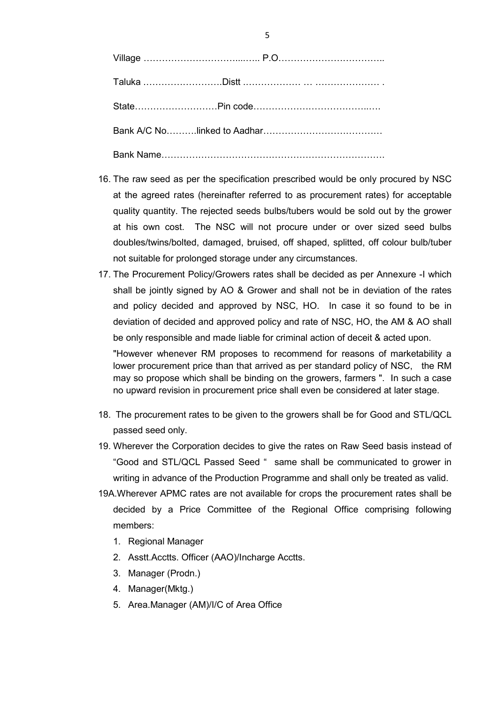| <b>Bank Name Bank Name</b> |  |
|----------------------------|--|

- 16. The raw seed as per the specification prescribed would be only procured by NSC at the agreed rates (hereinafter referred to as procurement rates) for acceptable quality quantity. The rejected seeds bulbs/tubers would be sold out by the grower at his own cost. The NSC will not procure under or over sized seed bulbs doubles/twins/bolted, damaged, bruised, off shaped, splitted, off colour bulb/tuber not suitable for prolonged storage under any circumstances.
- 17. The Procurement Policy/Growers rates shall be decided as per Annexure -I which shall be jointly signed by AO & Grower and shall not be in deviation of the rates and policy decided and approved by NSC, HO. In case it so found to be in deviation of decided and approved policy and rate of NSC, HO, the AM & AO shall be only responsible and made liable for criminal action of deceit & acted upon. "However whenever RM proposes to recommend for reasons of marketability a

lower procurement price than that arrived as per standard policy of NSC, the RM may so propose which shall be binding on the growers, farmers ". In such a case no upward revision in procurement price shall even be considered at later stage.

- 18. The procurement rates to be given to the growers shall be for Good and STL/QCL passed seed only.
- 19. Wherever the Corporation decides to give the rates on Raw Seed basis instead of "Good and STL/QCL Passed Seed " same shall be communicated to grower in writing in advance of the Production Programme and shall only be treated as valid.
- 19A.Wherever APMC rates are not available for crops the procurement rates shall be decided by a Price Committee of the Regional Office comprising following members:
	- 1. Regional Manager
	- 2. Asstt.Acctts. Officer (AAO)/Incharge Acctts.
	- 3. Manager (Prodn.)
	- 4. Manager(Mktg.)
	- 5. Area.Manager (AM)/I/C of Area Office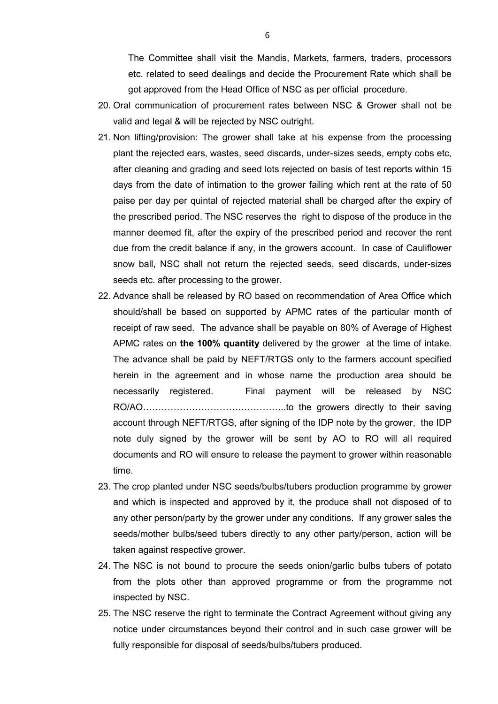The Committee shall visit the Mandis, Markets, farmers, traders, processors etc. related to seed dealings and decide the Procurement Rate which shall be got approved from the Head Office of NSC as per official procedure.

- 20. Oral communication of procurement rates between NSC & Grower shall not be valid and legal & will be rejected by NSC outright.
- 21. Non lifting/provision: The grower shall take at his expense from the processing plant the rejected ears, wastes, seed discards, under-sizes seeds, empty cobs etc, after cleaning and grading and seed lots rejected on basis of test reports within 15 days from the date of intimation to the grower failing which rent at the rate of 50 paise per day per quintal of rejected material shall be charged after the expiry of the prescribed period. The NSC reserves the right to dispose of the produce in the manner deemed fit, after the expiry of the prescribed period and recover the rent due from the credit balance if any, in the growers account. In case of Cauliflower snow ball, NSC shall not return the rejected seeds, seed discards, under-sizes seeds etc. after processing to the grower.
- 22. Advance shall be released by RO based on recommendation of Area Office which should/shall be based on supported by APMC rates of the particular month of receipt of raw seed. The advance shall be payable on 80% of Average of Highest APMC rates on the 100% quantity delivered by the grower at the time of intake. The advance shall be paid by NEFT/RTGS only to the farmers account specified herein in the agreement and in whose name the production area should be necessarily registered. Final payment will be released by NSC RO/AO………………………………………..to the growers directly to their saving account through NEFT/RTGS, after signing of the IDP note by the grower, the IDP note duly signed by the grower will be sent by AO to RO will all required documents and RO will ensure to release the payment to grower within reasonable time.
- 23. The crop planted under NSC seeds/bulbs/tubers production programme by grower and which is inspected and approved by it, the produce shall not disposed of to any other person/party by the grower under any conditions. If any grower sales the seeds/mother bulbs/seed tubers directly to any other party/person, action will be taken against respective grower.
- 24. The NSC is not bound to procure the seeds onion/garlic bulbs tubers of potato from the plots other than approved programme or from the programme not inspected by NSC.
- 25. The NSC reserve the right to terminate the Contract Agreement without giving any notice under circumstances beyond their control and in such case grower will be fully responsible for disposal of seeds/bulbs/tubers produced.